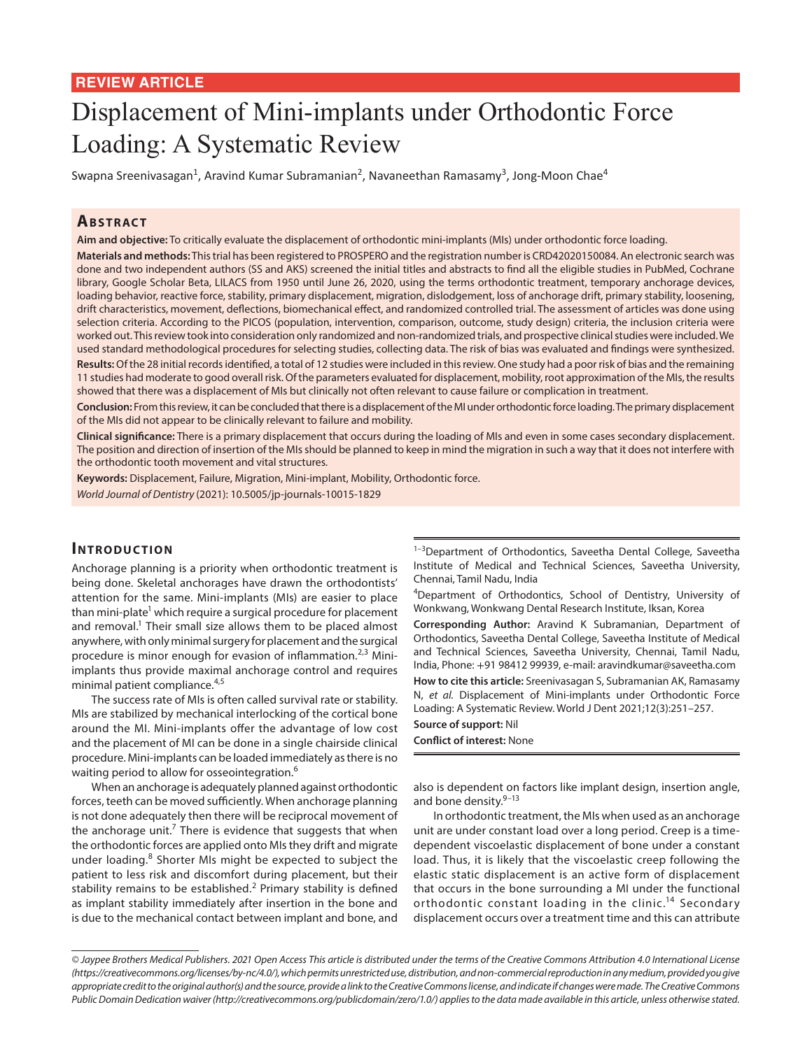## **REVIEW ARTICLE**

# Displacement of Mini-implants under Orthodontic Force Loading: A Systematic Review

Swapna Sreenivasagan<sup>1</sup>, Aravind Kumar Subramanian<sup>2</sup>, Navaneethan Ramasamy<sup>3</sup>, Jong-Moon Chae<sup>4</sup>

# **ABSTRACT**

**Aim and objective:** To critically evaluate the displacement of orthodontic mini-implants (MIs) under orthodontic force loading. **Materials and methods:** This trial has been registered to PROSPERO and the registration number is CRD42020150084. An electronic search was done and two independent authors (SS and AKS) screened the initial titles and abstracts to find all the eligible studies in PubMed, Cochrane library, Google Scholar Beta, LILACS from 1950 until June 26, 2020, using the terms orthodontic treatment, temporary anchorage devices, loading behavior, reactive force, stability, primary displacement, migration, dislodgement, loss of anchorage drift, primary stability, loosening, drift characteristics, movement, deflections, biomechanical effect, and randomized controlled trial. The assessment of articles was done using selection criteria. According to the PICOS (population, intervention, comparison, outcome, study design) criteria, the inclusion criteria were worked out. This review took into consideration only randomized and non-randomized trials, and prospective clinical studies were included. We used standard methodological procedures for selecting studies, collecting data. The risk of bias was evaluated and findings were synthesized.

**Results:** Of the 28 initial records identified, a total of 12 studies were included in this review. One study had a poor risk of bias and the remaining 11 studies had moderate to good overall risk. Of the parameters evaluated for displacement, mobility, root approximation of the MIs, the results showed that there was a displacement of MIs but clinically not often relevant to cause failure or complication in treatment.

**Conclusion:** From this review, it can be concluded that there is a displacement of the MI under orthodontic force loading. The primary displacement of the MIs did not appear to be clinically relevant to failure and mobility.

**Clinical significance:** There is a primary displacement that occurs during the loading of MIs and even in some cases secondary displacement. The position and direction of insertion of the MIs should be planned to keep in mind the migration in such a way that it does not interfere with the orthodontic tooth movement and vital structures.

**Keywords:** Displacement, Failure, Migration, Mini-implant, Mobility, Orthodontic force. *World Journal of Dentistry* (2021): 10.5005/jp-journals-10015-1829

### **INTRODUCTION**

Anchorage planning is a priority when orthodontic treatment is being done. Skeletal anchorages have drawn the orthodontists' attention for the same. Mini-implants (MIs) are easier to place than mini-plate<sup>1</sup> which require a surgical procedure for placement and removal. $1$  Their small size allows them to be placed almost anywhere, with only minimal surgery for placement and the surgical procedure is minor enough for evasion of inflammation.<sup>2,3</sup> Miniimplants thus provide maximal anchorage control and requires minimal patient compliance.<sup>4,5</sup>

The success rate of MIs is often called survival rate or stability. MIs are stabilized by mechanical interlocking of the cortical bone around the MI. Mini-implants offer the advantage of low cost and the placement of MI can be done in a single chairside clinical procedure. Mini-implants can be loaded immediately as there is no waiting period to allow for osseointegration.<sup>6</sup>

When an anchorage is adequately planned against orthodontic forces, teeth can be moved sufficiently. When anchorage planning is not done adequately then there will be reciprocal movement of the anchorage unit.<sup>7</sup> There is evidence that suggests that when the orthodontic forces are applied onto MIs they drift and migrate under loading.<sup>8</sup> Shorter MIs might be expected to subject the patient to less risk and discomfort during placement, but their stability remains to be established.<sup>2</sup> Primary stability is defined as implant stability immediately after insertion in the bone and is due to the mechanical contact between implant and bone, and

<sup>1-3</sup>Department of Orthodontics, Saveetha Dental College, Saveetha Institute of Medical and Technical Sciences, Saveetha University, Chennai, Tamil Nadu, India

4 Department of Orthodontics, School of Dentistry, University of Wonkwang, Wonkwang Dental Research Institute, Iksan, Korea

**Corresponding Author:** Aravind K Subramanian, Department of Orthodontics, Saveetha Dental College, Saveetha Institute of Medical and Technical Sciences, Saveetha University, Chennai, Tamil Nadu, India, Phone: +91 98412 99939, e-mail: aravindkumar@saveetha.com

**How to cite this article:** Sreenivasagan S, Subramanian AK, Ramasamy N, *et al.* Displacement of Mini-implants under Orthodontic Force Loading: A Systematic Review. World J Dent 2021;12(3):251–257.

#### **Source of support:** Nil **Conflict of interest:** None

also is dependent on factors like implant design, insertion angle, and bone density.<sup>9-13</sup>

In orthodontic treatment, the MIs when used as an anchorage unit are under constant load over a long period. Creep is a timedependent viscoelastic displacement of bone under a constant load. Thus, it is likely that the viscoelastic creep following the elastic static displacement is an active form of displacement that occurs in the bone surrounding a MI under the functional orthodontic constant loading in the clinic.<sup>14</sup> Secondary displacement occurs over a treatment time and this can attribute

*<sup>©</sup> Jaypee Brothers Medical Publishers. 2021 Open Access This article is distributed under the terms of the Creative Commons Attribution 4.0 International License (https://creativecommons.org/licenses/by-nc/4.0/), which permits unrestricted use, distribution, and non-commercial reproduction in any medium, provided you give appropriate credit to the original author(s) and the source, provide a link to the Creative Commons license, and indicate if changes were made. The Creative Commons Public Domain Dedication waiver (http://creativecommons.org/publicdomain/zero/1.0/) applies to the data made available in this article, unless otherwise stated.*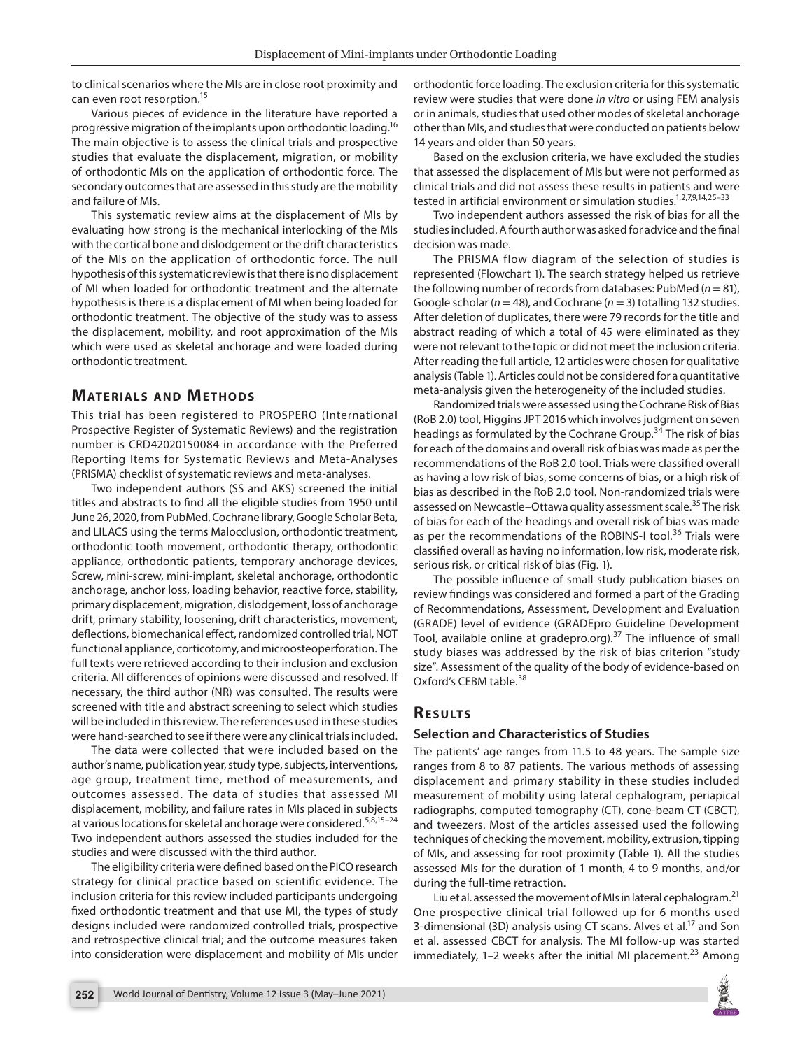to clinical scenarios where the MIs are in close root proximity and can even root resorption.15

Various pieces of evidence in the literature have reported a progressive migration of the implants upon orthodontic loading.16 The main objective is to assess the clinical trials and prospective studies that evaluate the displacement, migration, or mobility of orthodontic MIs on the application of orthodontic force. The secondary outcomes that are assessed in this study are the mobility and failure of MIs.

This systematic review aims at the displacement of MIs by evaluating how strong is the mechanical interlocking of the MIs with the cortical bone and dislodgement or the drift characteristics of the MIs on the application of orthodontic force. The null hypothesis of this systematic review is that there is no displacement of MI when loaded for orthodontic treatment and the alternate hypothesis is there is a displacement of MI when being loaded for orthodontic treatment. The objective of the study was to assess the displacement, mobility, and root approximation of the MIs which were used as skeletal anchorage and were loaded during orthodontic treatment.

#### **MATERIALS AND METHODS**

This trial has been registered to PROSPERO (International Prospective Register of Systematic Reviews) and the registration number is CRD42020150084 in accordance with the Preferred Reporting Items for Systematic Reviews and Meta-Analyses (PRISMA) checklist of systematic reviews and meta-analyses.

Two independent authors (SS and AKS) screened the initial titles and abstracts to find all the eligible studies from 1950 until June 26, 2020, from PubMed, Cochrane library, Google Scholar Beta, and LILACS using the terms Malocclusion, orthodontic treatment, orthodontic tooth movement, orthodontic therapy, orthodontic appliance, orthodontic patients, temporary anchorage devices, Screw, mini-screw, mini-implant, skeletal anchorage, orthodontic anchorage, anchor loss, loading behavior, reactive force, stability, primary displacement, migration, dislodgement, loss of anchorage drift, primary stability, loosening, drift characteristics, movement, deflections, biomechanical effect, randomized controlled trial, NOT functional appliance, corticotomy, and microosteoperforation. The full texts were retrieved according to their inclusion and exclusion criteria. All differences of opinions were discussed and resolved. If necessary, the third author (NR) was consulted. The results were screened with title and abstract screening to select which studies will be included in this review. The references used in these studies were hand-searched to see if there were any clinical trials included.

The data were collected that were included based on the author's name, publication year, study type, subjects, interventions, age group, treatment time, method of measurements, and outcomes assessed. The data of studies that assessed MI displacement, mobility, and failure rates in MIs placed in subjects at various locations for skeletal anchorage were considered.<sup>5,8,15-24</sup> Two independent authors assessed the studies included for the studies and were discussed with the third author.

The eligibility criteria were defined based on the PICO research strategy for clinical practice based on scientific evidence. The inclusion criteria for this review included participants undergoing fixed orthodontic treatment and that use MI, the types of study designs included were randomized controlled trials, prospective and retrospective clinical trial; and the outcome measures taken into consideration were displacement and mobility of MIs under orthodontic force loading. The exclusion criteria for this systematic review were studies that were done *in vitro* or using FEM analysis or in animals, studies that used other modes of skeletal anchorage other than MIs, and studies that were conducted on patients below 14 years and older than 50 years.

Based on the exclusion criteria, we have excluded the studies that assessed the displacement of MIs but were not performed as clinical trials and did not assess these results in patients and were tested in artificial environment or simulation studies.<sup>1,2,7,9,14,25-33</sup>

Two independent authors assessed the risk of bias for all the studies included. A fourth author was asked for advice and the final decision was made.

The PRISMA flow diagram of the selection of studies is represented (Flowchart 1). The search strategy helped us retrieve the following number of records from databases: PubMed (*n* = 81), Google scholar (*n* = 48), and Cochrane (*n* = 3) totalling 132 studies. After deletion of duplicates, there were 79 records for the title and abstract reading of which a total of 45 were eliminated as they were not relevant to the topic or did not meet the inclusion criteria. After reading the full article, 12 articles were chosen for qualitative analysis (Table 1). Articles could not be considered for a quantitative meta-analysis given the heterogeneity of the included studies.

Randomized trials were assessed using the Cochrane Risk of Bias (RoB 2.0) tool, Higgins JPT 2016 which involves judgment on seven headings as formulated by the Cochrane Group.<sup>34</sup> The risk of bias for each of the domains and overall risk of bias was made as per the recommendations of the RoB 2.0 tool. Trials were classified overall as having a low risk of bias, some concerns of bias, or a high risk of bias as described in the RoB 2.0 tool. Non-randomized trials were assessed on Newcastle–Ottawa quality assessment scale.<sup>35</sup> The risk of bias for each of the headings and overall risk of bias was made as per the recommendations of the ROBINS-I tool.<sup>36</sup> Trials were classified overall as having no information, low risk, moderate risk, serious risk, or critical risk of bias (Fig. 1).

The possible influence of small study publication biases on review findings was considered and formed a part of the Grading of Recommendations, Assessment, Development and Evaluation (GRADE) level of evidence (GRADEpro Guideline Development Tool, available online at gradepro.org). $37$  The influence of small study biases was addressed by the risk of bias criterion "study size". Assessment of the quality of the body of evidence-based on Oxford's CEBM table.<sup>38</sup>

# **RESULTS**

#### **Selection and Characteristics of Studies**

The patients' age ranges from 11.5 to 48 years. The sample size ranges from 8 to 87 patients. The various methods of assessing displacement and primary stability in these studies included measurement of mobility using lateral cephalogram, periapical radiographs, computed tomography (CT), cone-beam CT (CBCT), and tweezers. Most of the articles assessed used the following techniques of checking the movement, mobility, extrusion, tipping of MIs, and assessing for root proximity (Table 1). All the studies assessed MIs for the duration of 1 month, 4 to 9 months, and/or during the full-time retraction.

Liu et al. assessed the movement of MIs in lateral cephalogram.<sup>21</sup> One prospective clinical trial followed up for 6 months used 3-dimensional (3D) analysis using CT scans. Alves et al.<sup>17</sup> and Son et al. assessed CBCT for analysis. The MI follow-up was started immediately,  $1-2$  weeks after the initial MI placement.<sup>23</sup> Among

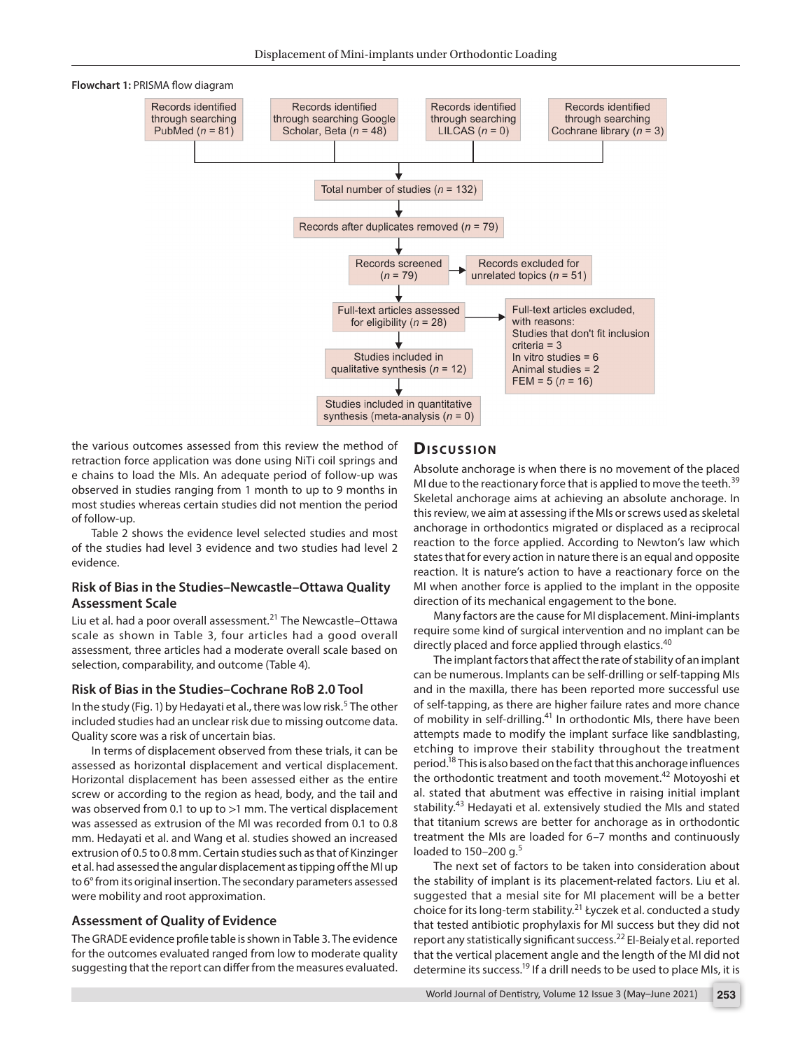

the various outcomes assessed from this review the method of retraction force application was done using NiTi coil springs and e chains to load the MIs. An adequate period of follow-up was observed in studies ranging from 1 month to up to 9 months in most studies whereas certain studies did not mention the period of follow-up.

Table 2 shows the evidence level selected studies and most of the studies had level 3 evidence and two studies had level 2 evidence.

#### **Risk of Bias in the Studies–Newcastle–Ottawa Quality Assessment Scale**

Liu et al. had a poor overall assessment.<sup>21</sup> The Newcastle-Ottawa scale as shown in Table 3, four articles had a good overall assessment, three articles had a moderate overall scale based on selection, comparability, and outcome (Table 4).

#### **Risk of Bias in the Studies–Cochrane RoB 2.0 Tool**

In the study (Fig. 1) by Hedayati et al., there was low risk.<sup>5</sup> The other included studies had an unclear risk due to missing outcome data. Quality score was a risk of uncertain bias.

In terms of displacement observed from these trials, it can be assessed as horizontal displacement and vertical displacement. Horizontal displacement has been assessed either as the entire screw or according to the region as head, body, and the tail and was observed from 0.1 to up to >1 mm. The vertical displacement was assessed as extrusion of the MI was recorded from 0.1 to 0.8 mm. Hedayati et al. and Wang et al. studies showed an increased extrusion of 0.5 to 0.8 mm. Certain studies such as that of Kinzinger et al. had assessed the angular displacement as tipping off the MI up to 6° from its original insertion. The secondary parameters assessed were mobility and root approximation.

#### **Assessment of Quality of Evidence**

The GRADE evidence profile table is shown in Table 3. The evidence for the outcomes evaluated ranged from low to moderate quality suggesting that the report can differ from the measures evaluated.

#### **Dis c u s sio n**

Absolute anchorage is when there is no movement of the placed MI due to the reactionary force that is applied to move the teeth.<sup>39</sup> Skeletal anchorage aims at achieving an absolute anchorage. In this review, we aim at assessing if the MIs or screws used as skeletal anchorage in orthodontics migrated or displaced as a reciprocal reaction to the force applied. According to Newton's law which states that for every action in nature there is an equal and opposite reaction. It is nature's action to have a reactionary force on the MI when another force is applied to the implant in the opposite direction of its mechanical engagement to the bone.

Many factors are the cause for MI displacement. Mini-implants require some kind of surgical intervention and no implant can be directly placed and force applied through elastics.<sup>40</sup>

The implant factors that affect the rate of stability of an implant can be numerous. Implants can be self-drilling or self-tapping MIs and in the maxilla, there has been reported more successful use of self-tapping, as there are higher failure rates and more chance of mobility in self-drilling.<sup>41</sup> In orthodontic MIs, there have been attempts made to modify the implant surface like sandblasting, etching to improve their stability throughout the treatment period.<sup>18</sup> This is also based on the fact that this anchorage influences the orthodontic treatment and tooth movement.<sup>42</sup> Motoyoshi et al. stated that abutment was effective in raising initial implant stability.<sup>43</sup> Hedayati et al. extensively studied the MIs and stated that titanium screws are better for anchorage as in orthodontic treatment the MIs are loaded for 6–7 months and continuously loaded to  $150-200$  g.<sup>5</sup>

The next set of factors to be taken into consideration about the stability of implant is its placement-related factors. Liu et al. suggested that a mesial site for MI placement will be a better choice for its long-term stability.21 Łyczek et al. conducted a study that tested antibiotic prophylaxis for MI success but they did not report any statistically significant success.<sup>22</sup> El-Beialy et al. reported that the vertical placement angle and the length of the MI did not determine its success.<sup>19</sup> If a drill needs to be used to place MIs, it is

World Journal of Dentistry, Volume 12 Issue 3 (May–June 2021) **253**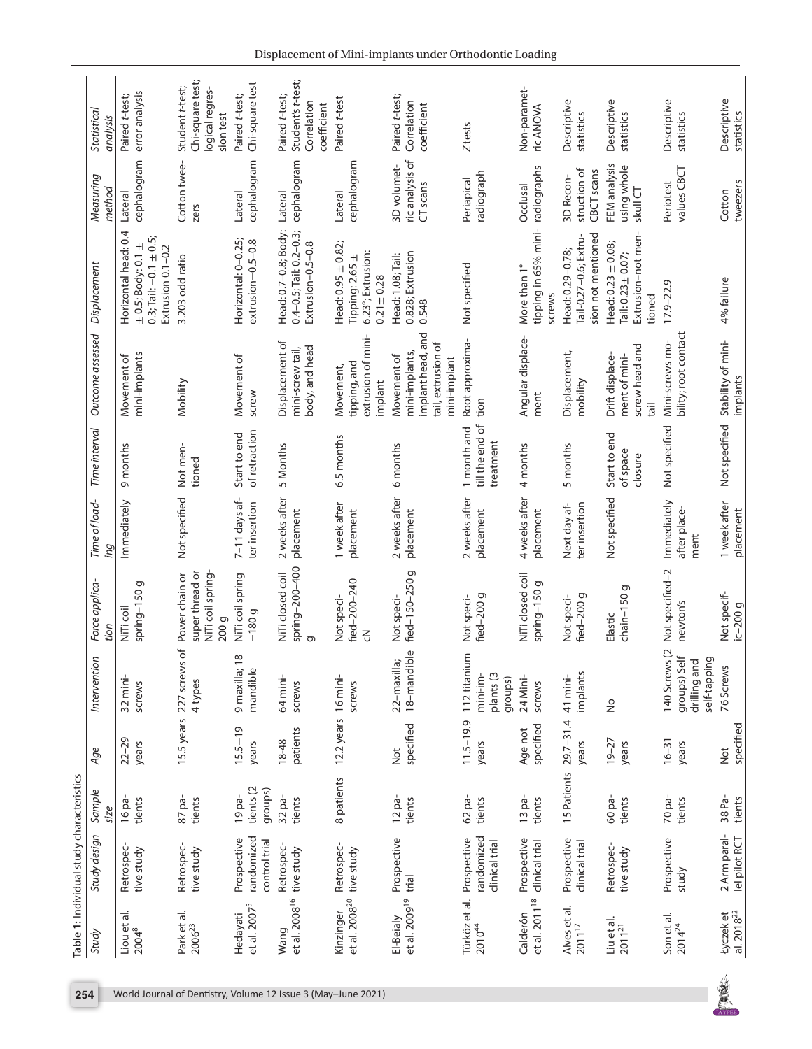|                                        | Table 1: Individual study characteristics          |                                |                         |                                                               |                                                                 |                                     |                                             |                                                                                          |                                                                                                           |                                            |                                                                     |
|----------------------------------------|----------------------------------------------------|--------------------------------|-------------------------|---------------------------------------------------------------|-----------------------------------------------------------------|-------------------------------------|---------------------------------------------|------------------------------------------------------------------------------------------|-----------------------------------------------------------------------------------------------------------|--------------------------------------------|---------------------------------------------------------------------|
| Study                                  | Study design                                       | Sample<br>size                 | Age                     | noi<br>Intervent                                              | Force applica-<br>tion                                          | Time of load-<br>ing                | Time interval                               | Outcome assessed                                                                         | Displacement                                                                                              | Measuring<br>method                        | Statistical<br>analysis                                             |
| Liou et al.<br>$2004^{8}$              | Retrospec-<br>tive study                           | 16 pa-<br>tients               | $22 - 29$<br>years      | $32$ mini-<br>screws                                          | spring-150g<br>NiTi coil                                        | Immediately                         | 9 months                                    | mini-implants<br>Movement of                                                             | Horizontal head: 0.4<br>$0.3$ ; Tail: $-0.1 \pm 0.5$ ;<br>$\pm$ 0.5; Body: 0.1 $\pm$<br>Extrusion 0.1-0.2 | cephalogram<br>Lateral                     | error analysis<br>Paired t-test;                                    |
| Park et al.<br>$2006^{23}$             | Retrospec-<br>tive study                           | $87$ pa-<br>tients             |                         | 15.5 years 227 screws of<br>4 types                           | NiTi coil spring-<br>super thread or<br>Power chain or<br>200 g | Not specified                       | Not men-<br>tioned                          | Mobility                                                                                 | 3.203 odd ratio                                                                                           | Cotton twee-<br>zers                       | Chi-square test;<br>Student t-test;<br>logical regres-<br>sion test |
| et al. $20075$<br>Hedayati             | randomized<br>Prospective<br>control trial         | tients (2<br>groups)<br>19 pa- | $15.5 - 19$<br>years    | 9 maxilla; 18<br>mandible                                     | NiTi coil spring<br>$-180g -$                                   | 7-11 days af-<br>ter insertion      | of retraction<br>Start to end               | Movement of<br>screw                                                                     | Horizontal: 0-0.25;<br>extrusion-0.5-0.8                                                                  | cephalogram<br>Lateral                     | Chi-square test<br>Paired t-test;                                   |
| Wang                                   | Retrospec-<br>et al. 2008 <sup>16</sup> tive study | 32 pa-<br>tients               | patients<br>18-48       | 64 mini-<br>screws                                            | spring-200-400<br>NiTi closed coil<br>$\sigma$                  | 2 weeks after<br>placement          | 5 Months                                    | Displacement of<br>body, and head<br>mini-screw tail,                                    | Head: 0.7-0.8; Body:<br>$0.4 - 0.5$ ; Tail: $0.2 - 0.3$ ;<br>Extrusion-0.5-0.8                            | cephalogram<br>Lateral                     | Student's t-test;<br>Paired t-test;<br>Correlation<br>coefficient   |
| et al. $2008^{20}$<br>Kinzinger        | Retrospec-<br>tive study                           | 8 patients                     | 12.2 years 16 mini-     | screws                                                        | fied-200-240<br>Not speci-<br>$\leq$                            | 1 week after<br>placement           | 6.5 months                                  | extrusion of mini-<br>tipping, and<br>Movement,<br>implant                               | Head: $0.95 \pm 0.82$ ;<br>6.23°; Extrusion:<br>Tipping: 2.65 ±<br>$0.21 \pm 0.28$                        | cephalogram<br>Lateral                     | Paired t-test                                                       |
| et al. 2009 <sup>19</sup><br>El-Beialy | Prospective<br>trial                               | $12$ pa-<br>tients             | specified<br><b>Not</b> | 18-mandible<br>22-maxilla;                                    | ס<br>fied-150-250<br>Not speci-                                 | 2 weeks after<br>placement          | 6 months                                    | implant head, and<br>tail, extrusion of<br>mini-implants,<br>Movement of<br>mini-implant | 0.828; Extrusion<br>Head: 1.08; Tail:<br>0.548                                                            | ric analysis of<br>3D volumet-<br>CT scans | Paired t-test;<br>Correlation<br>coefficient                        |
| Türköz et al.<br>201044                | randomized<br>Prospective<br>clinical trial        | 62 pa-<br>tients               | $11.5 - 19.9$<br>years  | 112 titanium<br>mini-im-<br>plants (3<br>groups)              | fied-200 g<br>Not speci-                                        | 2 weeks after<br>placement          | till the end of<br>1 month and<br>treatment | Root approxima-<br>tion                                                                  | Not specified                                                                                             | radiograph<br>Periapical                   | Z tests                                                             |
| et al. 2011 <sup>18</sup><br>Calderón  | Prospective<br>clinical trial                      | $13$ pa-<br>tients             | specified<br>Age not    | 24 Mini-<br>screws                                            | NiTi closed coil<br>g<br>spring-150                             | 4 weeks after<br>placement          | 4 months                                    | Angular displace-<br>ment                                                                | tipping in 65% mini-<br>More than 1°<br><b>SCrews</b>                                                     | radiographs<br>Occlusal                    | Non-paramet-<br>ric ANOVA                                           |
| Alves et al.<br>2011 <sup>17</sup>     | Prospective<br>clinical trial                      | 15 Patients                    | $29.7 - 31.4$<br>years  | implants<br>41 mini-                                          | fied-200 g<br>Not speci-                                        | ter insertion<br>Next day af-       | 5 months                                    | Displacement,<br>mobility                                                                | sion not mentioned<br>Tail-0.27-0.6; Extru-<br>Head: 0.29-0.78;                                           | struction of<br>CBCT scans<br>3D Recon-    | Descriptive<br>statistics                                           |
| Liu et al.<br>$2011^{21}$              | Retrospec-<br>tive study                           | 60 pa-<br>tients               | $19 - 27$<br>years      | $\frac{1}{2}$                                                 | chain-150 g<br>Elastic                                          | Not specified                       | Start to end<br>of space<br>closure         | screw head and<br>ment of mini-<br>Drift displace-<br>iied                               | Extrusion-not men-<br>Head: $0.23 \pm 0.08$ ;<br>Tail: 0.23 ± 0.07;<br>tioned                             | FEM analysis<br>using whole<br>skull CT    | Descriptive<br>statistics                                           |
| Son et al.<br>$2014^{24}$              | Prospective<br>study                               | 70 pa-<br>tients               | $16 - 31$<br>years      | 140 Screws (2<br>groups) Self<br>self-tapping<br>drilling and | Not specified-2<br>newton's                                     | Immediately<br>after place-<br>ment | Not specified                               | bility; root contact<br>Mini-screws mo-                                                  | $17.9 - 22.9$                                                                                             | values CBCT<br>Periotest                   | Descriptive<br>statistics                                           |
| $201822$<br>al. 2018 <sup>22</sup>     | 2 Arm paral-<br>lel pilot RCT                      | 38 Pa-<br>tients               | specified<br><u>b</u>   | 76 Screws                                                     | Not specif-<br>$ic-200g$                                        | 1 week after<br>placement           | Not specified                               | Stability of mini-<br>implants                                                           | 4% failure                                                                                                | tweezers<br>Cotton                         | Descriptive<br>statistics                                           |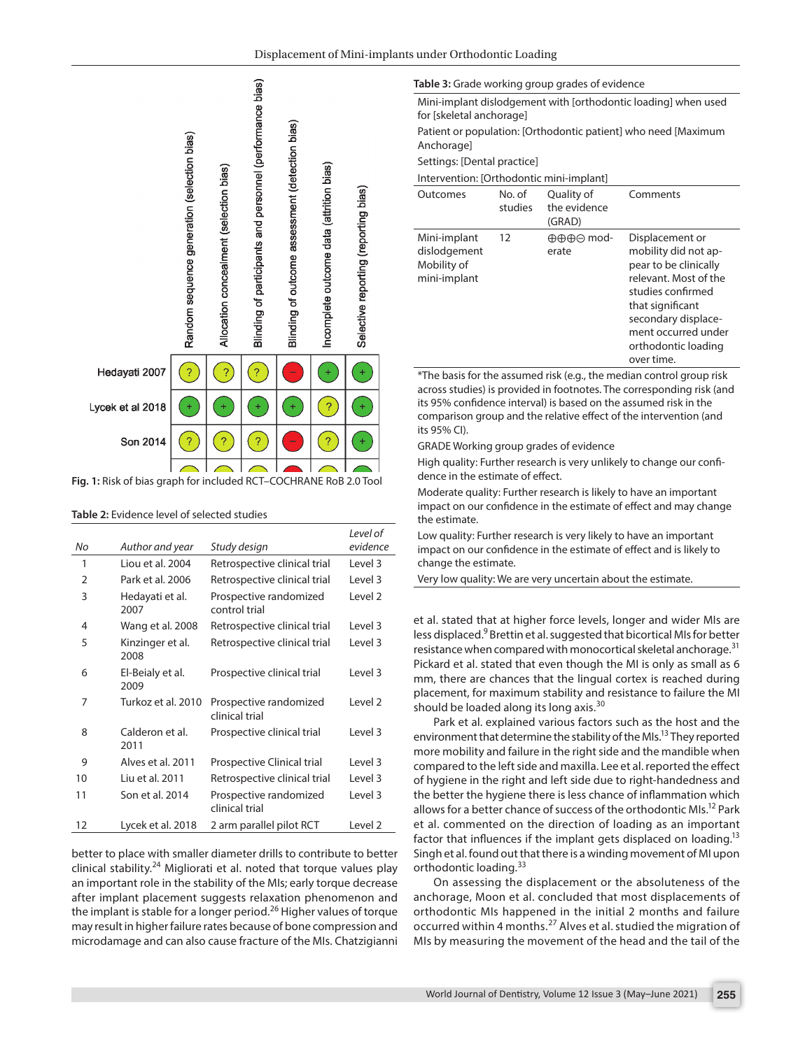

**Fig. 1:** Risk of bias graph for included RCT–COCHRANE RoB 2.0 Tool

#### **Table 2:** Evidence level of selected studies

| No             | Author and year          | Study design                             | Level of<br>evidence |
|----------------|--------------------------|------------------------------------------|----------------------|
| 1              | Liou et al. 2004         | Retrospective clinical trial             | Level 3              |
| $\overline{2}$ | Park et al. 2006         | Retrospective clinical trial             | Level 3              |
| 3              | Hedayati et al.<br>2007  | Prospective randomized<br>control trial  | Level <sub>2</sub>   |
| 4              | Wang et al. 2008         | Retrospective clinical trial             | Level 3              |
| 5              | Kinzinger et al.<br>2008 | Retrospective clinical trial             | Level 3              |
| 6              | El-Beialy et al.<br>2009 | Prospective clinical trial               | Level 3              |
| 7              | Turkoz et al. 2010       | Prospective randomized<br>clinical trial | Level <sub>2</sub>   |
| 8              | Calderon et al.<br>2011  | Prospective clinical trial               | Level 3              |
| 9              | Alves et al. 2011        | Prospective Clinical trial               | Level 3              |
| 10             | Liu et al. 2011          | Retrospective clinical trial             | Level 3              |
| 11             | Son et al. 2014          | Prospective randomized<br>clinical trial | Level 3              |
| 12             | Lycek et al. 2018        | 2 arm parallel pilot RCT                 | Level <sub>2</sub>   |

better to place with smaller diameter drills to contribute to better clinical stability.<sup>24</sup> Migliorati et al. noted that torque values play an important role in the stability of the MIs; early torque decrease after implant placement suggests relaxation phenomenon and the implant is stable for a longer period.<sup>26</sup> Higher values of torque may result in higher failure rates because of bone compression and microdamage and can also cause fracture of the MIs. Chatzigianni

**Table 3:** Grade working group grades of evidence

Mini-implant dislodgement with [orthodontic loading] when used for [skeletal anchorage]

Patient or population: [Orthodontic patient] who need [Maximum Anchorage]

Settings: [Dental practice]

Intervention: [Orthodontic mini-implant]

| Mini-implant<br>12<br>⊕⊕⊕⊝ mod-<br>dislodgement<br>erate<br>Mobility of<br>mini-implant | Comments                                                                                                                                                                                                              |
|-----------------------------------------------------------------------------------------|-----------------------------------------------------------------------------------------------------------------------------------------------------------------------------------------------------------------------|
|                                                                                         | Displacement or<br>mobility did not ap-<br>pear to be clinically<br>relevant. Most of the<br>studies confirmed<br>that significant<br>secondary displace-<br>ment occurred under<br>orthodontic loading<br>over time. |

\*The basis for the assumed risk (e.g., the median control group risk across studies) is provided in footnotes. The corresponding risk (and its 95% confidence interval) is based on the assumed risk in the comparison group and the relative effect of the intervention (and its 95% CI).

GRADE Working group grades of evidence

High quality: Further research is very unlikely to change our confidence in the estimate of effect.

Moderate quality: Further research is likely to have an important impact on our confidence in the estimate of effect and may change the estimate.

Low quality: Further research is very likely to have an important impact on our confidence in the estimate of effect and is likely to change the estimate.

Very low quality: We are very uncertain about the estimate.

et al. stated that at higher force levels, longer and wider MIs are less displaced.<sup>9</sup> Brettin et al. suggested that bicortical MIs for better resistance when compared with monocortical skeletal anchorage.<sup>31</sup> Pickard et al. stated that even though the MI is only as small as 6 mm, there are chances that the lingual cortex is reached during placement, for maximum stability and resistance to failure the MI should be loaded along its long axis. $30$ 

Park et al. explained various factors such as the host and the environment that determine the stability of the MIs.<sup>13</sup> They reported more mobility and failure in the right side and the mandible when compared to the left side and maxilla. Lee et al. reported the effect of hygiene in the right and left side due to right-handedness and the better the hygiene there is less chance of inflammation which allows for a better chance of success of the orthodontic MIs.<sup>12</sup> Park et al. commented on the direction of loading as an important factor that influences if the implant gets displaced on loading.<sup>13</sup> Singh et al. found out that there is a winding movement of MI upon orthodontic loading.<sup>33</sup>

On assessing the displacement or the absoluteness of the anchorage, Moon et al. concluded that most displacements of orthodontic MIs happened in the initial 2 months and failure occurred within 4 months.27 Alves et al. studied the migration of MIs by measuring the movement of the head and the tail of the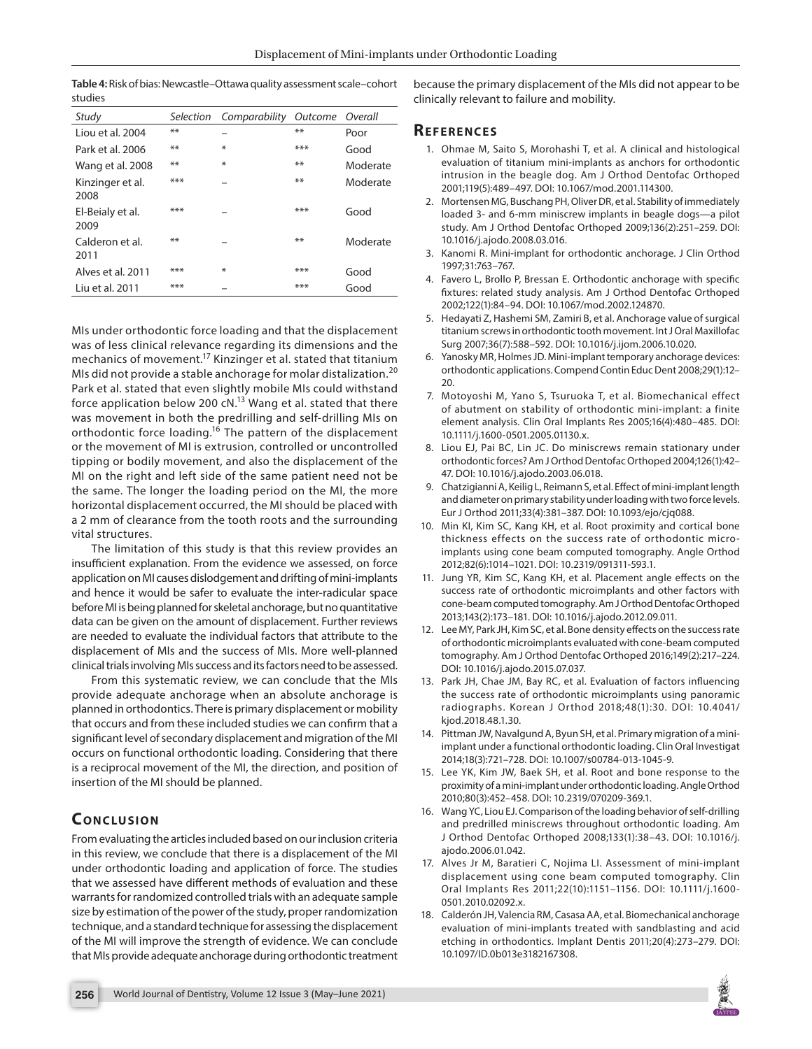**Table 4:** Risk of bias: Newcastle–Ottawa quality assessment scale–cohort studies

| Study                    | Selection | Comparability | Outcome | Overall  |
|--------------------------|-----------|---------------|---------|----------|
| Liou et al. 2004         | **        |               | **      | Poor     |
| Park et al. 2006         | **        | ¥             | ***     | Good     |
| Wang et al. 2008         | **        | ¥             | **      | Moderate |
| Kinzinger et al.<br>2008 | ***       |               | **      | Moderate |
| El-Beialy et al.<br>2009 | ***       |               | ***     | Good     |
| Calderon et al.<br>2011  | **        |               | **      | Moderate |
| Alves et al. 2011        | ***       | ¥             | ***     | Good     |
| Liu et al. 2011          | ***       |               | $***$   | Good     |

MIs under orthodontic force loading and that the displacement was of less clinical relevance regarding its dimensions and the mechanics of movement.17 Kinzinger et al. stated that titanium MIs did not provide a stable anchorage for molar distalization.<sup>20</sup> Park et al. stated that even slightly mobile MIs could withstand force application below 200  $cN$ .<sup>13</sup> Wang et al. stated that there was movement in both the predrilling and self-drilling MIs on orthodontic force loading.<sup>16</sup> The pattern of the displacement or the movement of MI is extrusion, controlled or uncontrolled tipping or bodily movement, and also the displacement of the MI on the right and left side of the same patient need not be the same. The longer the loading period on the MI, the more horizontal displacement occurred, the MI should be placed with a 2 mm of clearance from the tooth roots and the surrounding vital structures.

The limitation of this study is that this review provides an insufficient explanation. From the evidence we assessed, on force application on MI causes dislodgement and drifting of mini-implants and hence it would be safer to evaluate the inter-radicular space before MI is being planned for skeletal anchorage, but no quantitative data can be given on the amount of displacement. Further reviews are needed to evaluate the individual factors that attribute to the displacement of MIs and the success of MIs. More well-planned clinical trials involving MIs success and its factors need to be assessed.

From this systematic review, we can conclude that the MIs provide adequate anchorage when an absolute anchorage is planned in orthodontics. There is primary displacement or mobility that occurs and from these included studies we can confirm that a significant level of secondary displacement and migration of the MI occurs on functional orthodontic loading. Considering that there is a reciprocal movement of the MI, the direction, and position of insertion of the MI should be planned.

# **CONCLUSION**

From evaluating the articles included based on our inclusion criteria in this review, we conclude that there is a displacement of the MI under orthodontic loading and application of force. The studies that we assessed have different methods of evaluation and these warrants for randomized controlled trials with an adequate sample size by estimation of the power of the study, proper randomization technique, and a standard technique for assessing the displacement of the MI will improve the strength of evidence. We can conclude that MIs provide adequate anchorage during orthodontic treatment because the primary displacement of the MIs did not appear to be clinically relevant to failure and mobility.

#### **Re f e r e n c e s**

- 1. Ohmae M, Saito S, Morohashi T, et al. A clinical and histological evaluation of titanium mini-implants as anchors for orthodontic intrusion in the beagle dog. Am J Orthod Dentofac Orthoped 2001;119(5):489–497. DOI: 10.1067/mod.2001.114300.
- 2. Mortensen MG, Buschang PH, Oliver DR, et al. Stability of immediately loaded 3- and 6-mm miniscrew implants in beagle dogs—a pilot study. Am J Orthod Dentofac Orthoped 2009;136(2):251–259. DOI: 10.1016/j.ajodo.2008.03.016.
- 3. Kanomi R. Mini-implant for orthodontic anchorage. J Clin Orthod 1997;31:763–767.
- 4. Favero L, Brollo P, Bressan E. Orthodontic anchorage with specific fixtures: related study analysis. Am J Orthod Dentofac Orthoped 2002;122(1):84–94. DOI: 10.1067/mod.2002.124870.
- 5. Hedayati Z, Hashemi SM, Zamiri B, et al. Anchorage value of surgical titanium screws in orthodontic tooth movement. Int J Oral Maxillofac Surg 2007;36(7):588–592. DOI: 10.1016/j.ijom.2006.10.020.
- 6. Yanosky MR, Holmes JD. Mini-implant temporary anchorage devices: orthodontic applications. Compend Contin Educ Dent 2008;29(1):12– 20.
- 7. Motoyoshi M, Yano S, Tsuruoka T, et al. Biomechanical effect of abutment on stability of orthodontic mini‐implant: a finite element analysis. Clin Oral Implants Res 2005;16(4):480–485. DOI: 10.1111/j.1600-0501.2005.01130.x.
- 8. Liou EJ, Pai BC, Lin JC. Do miniscrews remain stationary under orthodontic forces? Am J Orthod Dentofac Orthoped 2004;126(1):42– 47. DOI: 10.1016/j.ajodo.2003.06.018.
- 9. Chatzigianni A, Keilig L, Reimann S, et al. Effect of mini-implant length and diameter on primary stability under loading with two force levels. Eur J Orthod 2011;33(4):381–387. DOI: 10.1093/ejo/cjq088.
- 10. Min KI, Kim SC, Kang KH, et al. Root proximity and cortical bone thickness effects on the success rate of orthodontic microimplants using cone beam computed tomography. Angle Orthod 2012;82(6):1014–1021. DOI: 10.2319/091311-593.1.
- 11. Jung YR, Kim SC, Kang KH, et al. Placement angle effects on the success rate of orthodontic microimplants and other factors with cone-beam computed tomography. Am J Orthod Dentofac Orthoped 2013;143(2):173–181. DOI: 10.1016/j.ajodo.2012.09.011.
- 12. Lee MY, Park JH, Kim SC, et al. Bone density effects on the success rate of orthodontic microimplants evaluated with cone-beam computed tomography. Am J Orthod Dentofac Orthoped 2016;149(2):217–224. DOI: 10.1016/j.ajodo.2015.07.037.
- 13. Park JH, Chae JM, Bay RC, et al. Evaluation of factors influencing the success rate of orthodontic microimplants using panoramic radiographs. Korean J Orthod 2018;48(1):30. DOI: 10.4041/ kjod.2018.48.1.30.
- 14. Pittman JW, Navalgund A, Byun SH, et al. Primary migration of a miniimplant under a functional orthodontic loading. Clin Oral Investigat 2014;18(3):721–728. DOI: 10.1007/s00784-013-1045-9.
- 15. Lee YK, Kim JW, Baek SH, et al. Root and bone response to the proximity of a mini-implant under orthodontic loading. Angle Orthod 2010;80(3):452–458. DOI: 10.2319/070209-369.1.
- 16. Wang YC, Liou EJ. Comparison of the loading behavior of self-drilling and predrilled miniscrews throughout orthodontic loading. Am J Orthod Dentofac Orthoped 2008;133(1):38–43. DOI: 10.1016/j. ajodo.2006.01.042.
- 17. Alves Jr M, Baratieri C, Nojima LI. Assessment of mini‐implant displacement using cone beam computed tomography. Clin Oral Implants Res 2011;22(10):1151–1156. DOI: 10.1111/j.1600- 0501.2010.02092.x.
- 18. Calderón JH, Valencia RM, Casasa AA, et al. Biomechanical anchorage evaluation of mini-implants treated with sandblasting and acid etching in orthodontics. Implant Dentis 2011;20(4):273–279. DOI: 10.1097/ID.0b013e3182167308.